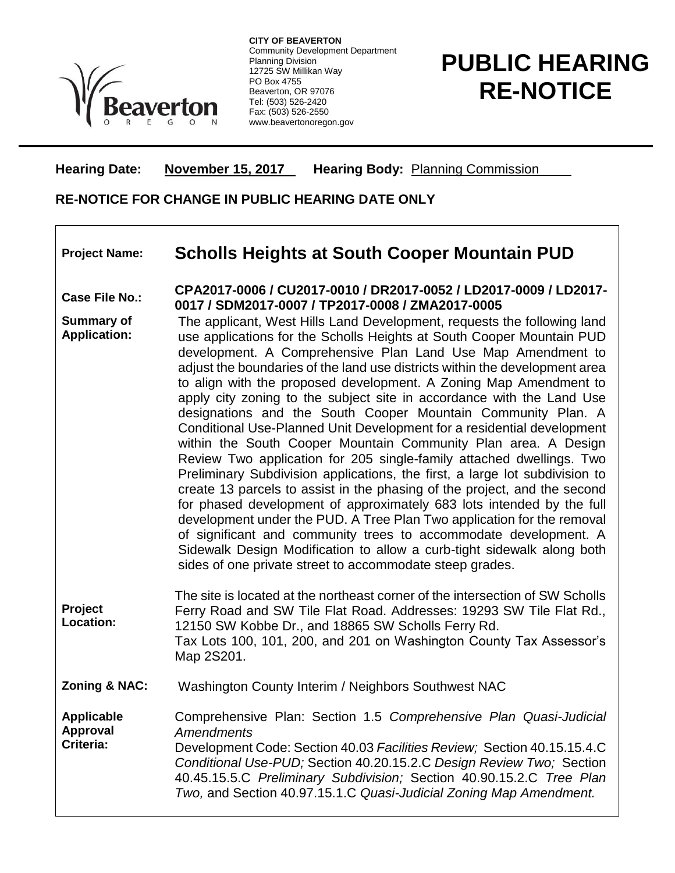

**CITY OF BEAVERTON** Community Development Department Planning Division 12725 SW Millikan Way PO Box 4755 Beaverton, OR 97076 Tel: (503) 526-2420 Fax: (503) 526-2550 www.beavertonoregon.gov

## **PUBLIC HEARING RE-NOTICE**

**Hearing Date: November 15, 2017 Hearing Body:** Planning Commission

## **RE-NOTICE FOR CHANGE IN PUBLIC HEARING DATE ONLY**

## **Project Name: Scholls Heights at South Cooper Mountain PUD**

**Case File No.: CPA2017-0006 / CU2017-0010 / DR2017-0052 / LD2017-0009 / LD2017- 0017 / SDM2017-0007 / TP2017-0008 / ZMA2017-0005**

- **Summary of Application:** The applicant, West Hills Land Development, requests the following land use applications for the Scholls Heights at South Cooper Mountain PUD development. A Comprehensive Plan Land Use Map Amendment to adjust the boundaries of the land use districts within the development area to align with the proposed development. A Zoning Map Amendment to apply city zoning to the subject site in accordance with the Land Use designations and the South Cooper Mountain Community Plan. A Conditional Use-Planned Unit Development for a residential development within the South Cooper Mountain Community Plan area. A Design Review Two application for 205 single-family attached dwellings. Two Preliminary Subdivision applications, the first, a large lot subdivision to create 13 parcels to assist in the phasing of the project, and the second for phased development of approximately 683 lots intended by the full development under the PUD. A Tree Plan Two application for the removal of significant and community trees to accommodate development. A Sidewalk Design Modification to allow a curb-tight sidewalk along both sides of one private street to accommodate steep grades.
- **Project Location:** The site is located at the northeast corner of the intersection of SW Scholls Ferry Road and SW Tile Flat Road. Addresses: 19293 SW Tile Flat Rd., 12150 SW Kobbe Dr., and 18865 SW Scholls Ferry Rd. Tax Lots 100, 101, 200, and 201 on Washington County Tax Assessor's Map 2S201.

**Zoning & NAC:** Washington County Interim / Neighbors Southwest NAC

**Applicable Approval Criteria:** Comprehensive Plan: Section 1.5 *Comprehensive Plan Quasi-Judicial Amendments* Development Code: Section 40.03 *Facilities Review;* Section 40.15.15.4.C *Conditional Use-PUD;* Section 40.20.15.2.C *Design Review Two;* Section 40.45.15.5.C *Preliminary Subdivision;* Section 40.90.15.2.C *Tree Plan Two,* and Section 40.97.15.1.C *Quasi-Judicial Zoning Map Amendment.*